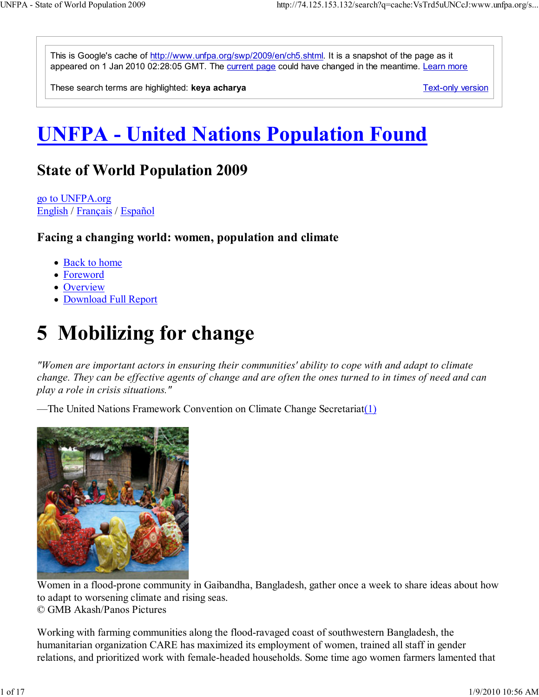This is Google's cache of http://www.unfpa.org/swp/2009/en/ch5.shtml. It is a snapshot of the page as it appeared on 1 Jan 2010 02:28:05 GMT. The current page could have changed in the meantime. Learn more

These search terms are highlighted: keya acharya

Text-only version

# UNFPA - United Nations Population Found

## State of World Population 2009

go to UNFPA.org English / Français / Español

#### Facing a changing world: women, population and climate

- Back to home
- Foreword
- Overview
- Download Full Report

## 5 Mobilizing for change

"Women are important actors in ensuring their communities' ability to cope with and adapt to climate change. They can be effective agents of change and are often the ones turned to in times of need and can play a role in crisis situations."

—The United Nations Framework Convention on Climate Change Secretariat(1)



Women in a flood-prone community in Gaibandha, Bangladesh, gather once a week to share ideas about how to adapt to worsening climate and rising seas. © GMB Akash/Panos Pictures

Working with farming communities along the flood-ravaged coast of southwestern Bangladesh, the humanitarian organization CARE has maximized its employment of women, trained all staff in gender relations, and prioritized work with female-headed households. Some time ago women farmers lamented that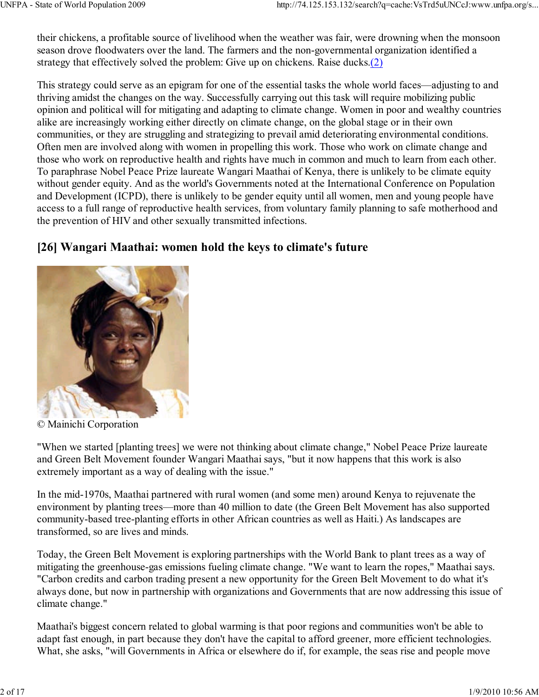their chickens, a profitable source of livelihood when the weather was fair, were drowning when the monsoon season drove floodwaters over the land. The farmers and the non-governmental organization identified a strategy that effectively solved the problem: Give up on chickens. Raise ducks.(2)

This strategy could serve as an epigram for one of the essential tasks the whole world faces—adjusting to and thriving amidst the changes on the way. Successfully carrying out this task will require mobilizing public opinion and political will for mitigating and adapting to climate change. Women in poor and wealthy countries alike are increasingly working either directly on climate change, on the global stage or in their own communities, or they are struggling and strategizing to prevail amid deteriorating environmental conditions. Often men are involved along with women in propelling this work. Those who work on climate change and those who work on reproductive health and rights have much in common and much to learn from each other. To paraphrase Nobel Peace Prize laureate Wangari Maathai of Kenya, there is unlikely to be climate equity without gender equity. And as the world's Governments noted at the International Conference on Population and Development (ICPD), there is unlikely to be gender equity until all women, men and young people have access to a full range of reproductive health services, from voluntary family planning to safe motherhood and the prevention of HIV and other sexually transmitted infections.

### [26] Wangari Maathai: women hold the keys to climate's future



© Mainichi Corporation

"When we started [planting trees] we were not thinking about climate change," Nobel Peace Prize laureate and Green Belt Movement founder Wangari Maathai says, "but it now happens that this work is also extremely important as a way of dealing with the issue."

In the mid-1970s, Maathai partnered with rural women (and some men) around Kenya to rejuvenate the environment by planting trees—more than 40 million to date (the Green Belt Movement has also supported community-based tree-planting efforts in other African countries as well as Haiti.) As landscapes are transformed, so are lives and minds.

Today, the Green Belt Movement is exploring partnerships with the World Bank to plant trees as a way of mitigating the greenhouse-gas emissions fueling climate change. "We want to learn the ropes," Maathai says. "Carbon credits and carbon trading present a new opportunity for the Green Belt Movement to do what it's always done, but now in partnership with organizations and Governments that are now addressing this issue of climate change."

Maathai's biggest concern related to global warming is that poor regions and communities won't be able to adapt fast enough, in part because they don't have the capital to afford greener, more efficient technologies. What, she asks, "will Governments in Africa or elsewhere do if, for example, the seas rise and people move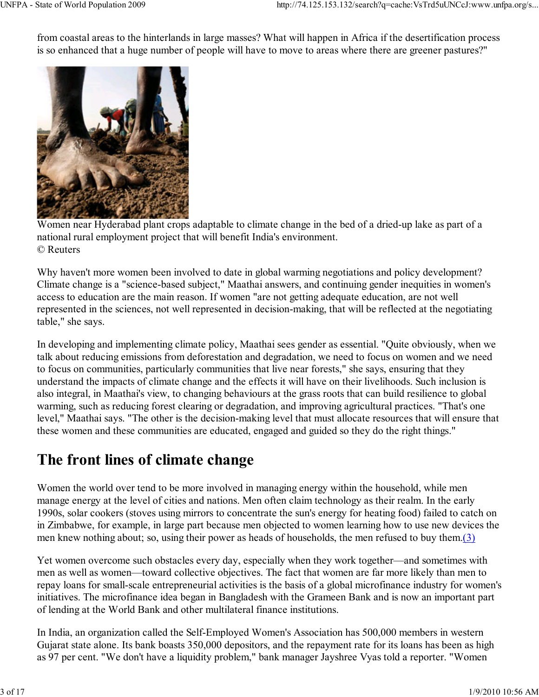from coastal areas to the hinterlands in large masses? What will happen in Africa if the desertification process is so enhanced that a huge number of people will have to move to areas where there are greener pastures?"



Women near Hyderabad plant crops adaptable to climate change in the bed of a dried-up lake as part of a national rural employment project that will benefit India's environment. © Reuters

Why haven't more women been involved to date in global warming negotiations and policy development? Climate change is a "science-based subject," Maathai answers, and continuing gender inequities in women's access to education are the main reason. If women "are not getting adequate education, are not well represented in the sciences, not well represented in decision-making, that will be reflected at the negotiating table," she says.

In developing and implementing climate policy, Maathai sees gender as essential. "Quite obviously, when we talk about reducing emissions from deforestation and degradation, we need to focus on women and we need to focus on communities, particularly communities that live near forests," she says, ensuring that they understand the impacts of climate change and the effects it will have on their livelihoods. Such inclusion is also integral, in Maathai's view, to changing behaviours at the grass roots that can build resilience to global warming, such as reducing forest clearing or degradation, and improving agricultural practices. "That's one level," Maathai says. "The other is the decision-making level that must allocate resources that will ensure that these women and these communities are educated, engaged and guided so they do the right things."

## The front lines of climate change

Women the world over tend to be more involved in managing energy within the household, while men manage energy at the level of cities and nations. Men often claim technology as their realm. In the early 1990s, solar cookers (stoves using mirrors to concentrate the sun's energy for heating food) failed to catch on in Zimbabwe, for example, in large part because men objected to women learning how to use new devices the men knew nothing about; so, using their power as heads of households, the men refused to buy them.(3)

Yet women overcome such obstacles every day, especially when they work together—and sometimes with men as well as women—toward collective objectives. The fact that women are far more likely than men to repay loans for small-scale entrepreneurial activities is the basis of a global microfinance industry for women's initiatives. The microfinance idea began in Bangladesh with the Grameen Bank and is now an important part of lending at the World Bank and other multilateral finance institutions.

In India, an organization called the Self-Employed Women's Association has 500,000 members in western Gujarat state alone. Its bank boasts 350,000 depositors, and the repayment rate for its loans has been as high as 97 per cent. "We don't have a liquidity problem," bank manager Jayshree Vyas told a reporter. "Women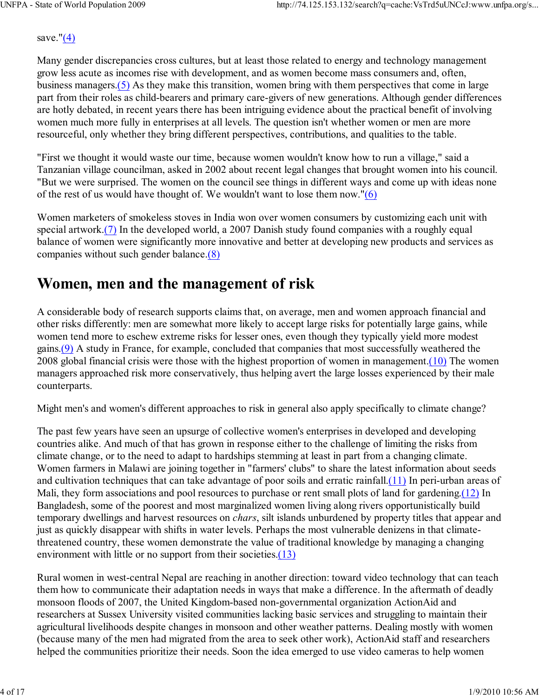save." $(4)$ 

Many gender discrepancies cross cultures, but at least those related to energy and technology management grow less acute as incomes rise with development, and as women become mass consumers and, often, business managers.(5) As they make this transition, women bring with them perspectives that come in large part from their roles as child-bearers and primary care-givers of new generations. Although gender differences are hotly debated, in recent years there has been intriguing evidence about the practical benefit of involving women much more fully in enterprises at all levels. The question isn't whether women or men are more resourceful, only whether they bring different perspectives, contributions, and qualities to the table.

"First we thought it would waste our time, because women wouldn't know how to run a village," said a Tanzanian village councilman, asked in 2002 about recent legal changes that brought women into his council. "But we were surprised. The women on the council see things in different ways and come up with ideas none of the rest of us would have thought of. We wouldn't want to lose them now."(6)

Women marketers of smokeless stoves in India won over women consumers by customizing each unit with special artwork.(7) In the developed world, a 2007 Danish study found companies with a roughly equal balance of women were significantly more innovative and better at developing new products and services as companies without such gender balance.(8)

## Women, men and the management of risk

A considerable body of research supports claims that, on average, men and women approach financial and other risks differently: men are somewhat more likely to accept large risks for potentially large gains, while women tend more to eschew extreme risks for lesser ones, even though they typically yield more modest gains.(9) A study in France, for example, concluded that companies that most successfully weathered the 2008 global financial crisis were those with the highest proportion of women in management.(10) The women managers approached risk more conservatively, thus helping avert the large losses experienced by their male counterparts.

Might men's and women's different approaches to risk in general also apply specifically to climate change?

The past few years have seen an upsurge of collective women's enterprises in developed and developing countries alike. And much of that has grown in response either to the challenge of limiting the risks from climate change, or to the need to adapt to hardships stemming at least in part from a changing climate. Women farmers in Malawi are joining together in "farmers' clubs" to share the latest information about seeds and cultivation techniques that can take advantage of poor soils and erratic rainfall.(11) In peri-urban areas of Mali, they form associations and pool resources to purchase or rent small plots of land for gardening.(12) In Bangladesh, some of the poorest and most marginalized women living along rivers opportunistically build temporary dwellings and harvest resources on chars, silt islands unburdened by property titles that appear and just as quickly disappear with shifts in water levels. Perhaps the most vulnerable denizens in that climatethreatened country, these women demonstrate the value of traditional knowledge by managing a changing environment with little or no support from their societies.(13)

Rural women in west-central Nepal are reaching in another direction: toward video technology that can teach them how to communicate their adaptation needs in ways that make a difference. In the aftermath of deadly monsoon floods of 2007, the United Kingdom-based non-governmental organization ActionAid and researchers at Sussex University visited communities lacking basic services and struggling to maintain their agricultural livelihoods despite changes in monsoon and other weather patterns. Dealing mostly with women (because many of the men had migrated from the area to seek other work), ActionAid staff and researchers helped the communities prioritize their needs. Soon the idea emerged to use video cameras to help women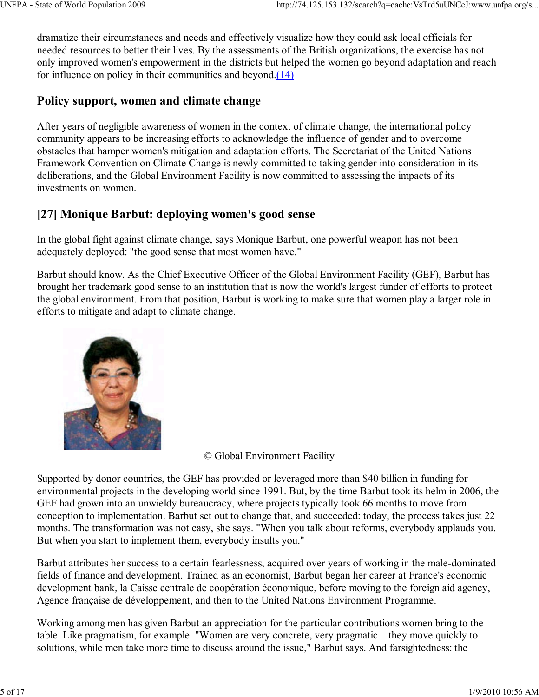dramatize their circumstances and needs and effectively visualize how they could ask local officials for needed resources to better their lives. By the assessments of the British organizations, the exercise has not only improved women's empowerment in the districts but helped the women go beyond adaptation and reach for influence on policy in their communities and beyond.(14)

#### Policy support, women and climate change

After years of negligible awareness of women in the context of climate change, the international policy community appears to be increasing efforts to acknowledge the influence of gender and to overcome obstacles that hamper women's mitigation and adaptation efforts. The Secretariat of the United Nations Framework Convention on Climate Change is newly committed to taking gender into consideration in its deliberations, and the Global Environment Facility is now committed to assessing the impacts of its investments on women.

## [27] Monique Barbut: deploying women's good sense

In the global fight against climate change, says Monique Barbut, one powerful weapon has not been adequately deployed: "the good sense that most women have."

Barbut should know. As the Chief Executive Officer of the Global Environment Facility (GEF), Barbut has brought her trademark good sense to an institution that is now the world's largest funder of efforts to protect the global environment. From that position, Barbut is working to make sure that women play a larger role in efforts to mitigate and adapt to climate change.



© Global Environment Facility

Supported by donor countries, the GEF has provided or leveraged more than \$40 billion in funding for environmental projects in the developing world since 1991. But, by the time Barbut took its helm in 2006, the GEF had grown into an unwieldy bureaucracy, where projects typically took 66 months to move from conception to implementation. Barbut set out to change that, and succeeded: today, the process takes just 22 months. The transformation was not easy, she says. "When you talk about reforms, everybody applauds you. But when you start to implement them, everybody insults you."

Barbut attributes her success to a certain fearlessness, acquired over years of working in the male-dominated fields of finance and development. Trained as an economist, Barbut began her career at France's economic development bank, la Caisse centrale de coopération économique, before moving to the foreign aid agency, Agence française de développement, and then to the United Nations Environment Programme.

Working among men has given Barbut an appreciation for the particular contributions women bring to the table. Like pragmatism, for example. "Women are very concrete, very pragmatic—they move quickly to solutions, while men take more time to discuss around the issue," Barbut says. And farsightedness: the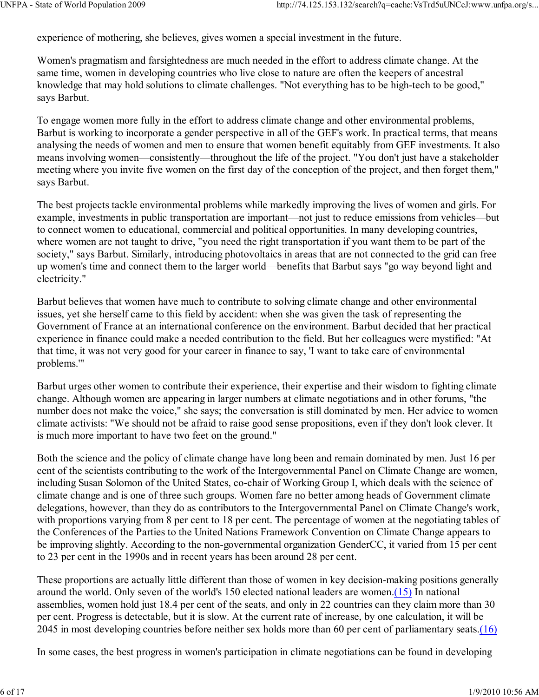experience of mothering, she believes, gives women a special investment in the future.

Women's pragmatism and farsightedness are much needed in the effort to address climate change. At the same time, women in developing countries who live close to nature are often the keepers of ancestral knowledge that may hold solutions to climate challenges. "Not everything has to be high-tech to be good," says Barbut.

To engage women more fully in the effort to address climate change and other environmental problems, Barbut is working to incorporate a gender perspective in all of the GEF's work. In practical terms, that means analysing the needs of women and men to ensure that women benefit equitably from GEF investments. It also means involving women—consistently—throughout the life of the project. "You don't just have a stakeholder meeting where you invite five women on the first day of the conception of the project, and then forget them," says Barbut.

The best projects tackle environmental problems while markedly improving the lives of women and girls. For example, investments in public transportation are important—not just to reduce emissions from vehicles—but to connect women to educational, commercial and political opportunities. In many developing countries, where women are not taught to drive, "you need the right transportation if you want them to be part of the society," says Barbut. Similarly, introducing photovoltaics in areas that are not connected to the grid can free up women's time and connect them to the larger world—benefits that Barbut says "go way beyond light and electricity."

Barbut believes that women have much to contribute to solving climate change and other environmental issues, yet she herself came to this field by accident: when she was given the task of representing the Government of France at an international conference on the environment. Barbut decided that her practical experience in finance could make a needed contribution to the field. But her colleagues were mystified: "At that time, it was not very good for your career in finance to say, 'I want to take care of environmental problems.'"

Barbut urges other women to contribute their experience, their expertise and their wisdom to fighting climate change. Although women are appearing in larger numbers at climate negotiations and in other forums, "the number does not make the voice," she says; the conversation is still dominated by men. Her advice to women climate activists: "We should not be afraid to raise good sense propositions, even if they don't look clever. It is much more important to have two feet on the ground."

Both the science and the policy of climate change have long been and remain dominated by men. Just 16 per cent of the scientists contributing to the work of the Intergovernmental Panel on Climate Change are women, including Susan Solomon of the United States, co-chair of Working Group I, which deals with the science of climate change and is one of three such groups. Women fare no better among heads of Government climate delegations, however, than they do as contributors to the Intergovernmental Panel on Climate Change's work, with proportions varying from 8 per cent to 18 per cent. The percentage of women at the negotiating tables of the Conferences of the Parties to the United Nations Framework Convention on Climate Change appears to be improving slightly. According to the non-governmental organization GenderCC, it varied from 15 per cent to 23 per cent in the 1990s and in recent years has been around 28 per cent.

These proportions are actually little different than those of women in key decision-making positions generally around the world. Only seven of the world's 150 elected national leaders are women.(15) In national assemblies, women hold just 18.4 per cent of the seats, and only in 22 countries can they claim more than 30 per cent. Progress is detectable, but it is slow. At the current rate of increase, by one calculation, it will be 2045 in most developing countries before neither sex holds more than 60 per cent of parliamentary seats.(16)

In some cases, the best progress in women's participation in climate negotiations can be found in developing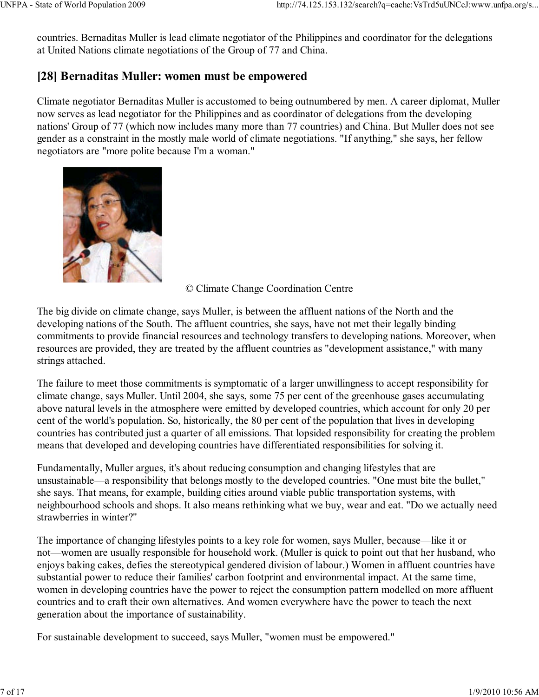countries. Bernaditas Muller is lead climate negotiator of the Philippines and coordinator for the delegations at United Nations climate negotiations of the Group of 77 and China.

### [28] Bernaditas Muller: women must be empowered

Climate negotiator Bernaditas Muller is accustomed to being outnumbered by men. A career diplomat, Muller now serves as lead negotiator for the Philippines and as coordinator of delegations from the developing nations' Group of 77 (which now includes many more than 77 countries) and China. But Muller does not see gender as a constraint in the mostly male world of climate negotiations. "If anything," she says, her fellow negotiators are "more polite because I'm a woman."



© Climate Change Coordination Centre

The big divide on climate change, says Muller, is between the affluent nations of the North and the developing nations of the South. The affluent countries, she says, have not met their legally binding commitments to provide financial resources and technology transfers to developing nations. Moreover, when resources are provided, they are treated by the affluent countries as "development assistance," with many strings attached.

The failure to meet those commitments is symptomatic of a larger unwillingness to accept responsibility for climate change, says Muller. Until 2004, she says, some 75 per cent of the greenhouse gases accumulating above natural levels in the atmosphere were emitted by developed countries, which account for only 20 per cent of the world's population. So, historically, the 80 per cent of the population that lives in developing countries has contributed just a quarter of all emissions. That lopsided responsibility for creating the problem means that developed and developing countries have differentiated responsibilities for solving it.

Fundamentally, Muller argues, it's about reducing consumption and changing lifestyles that are unsustainable—a responsibility that belongs mostly to the developed countries. "One must bite the bullet," she says. That means, for example, building cities around viable public transportation systems, with neighbourhood schools and shops. It also means rethinking what we buy, wear and eat. "Do we actually need strawberries in winter?"

The importance of changing lifestyles points to a key role for women, says Muller, because—like it or not—women are usually responsible for household work. (Muller is quick to point out that her husband, who enjoys baking cakes, defies the stereotypical gendered division of labour.) Women in affluent countries have substantial power to reduce their families' carbon footprint and environmental impact. At the same time, women in developing countries have the power to reject the consumption pattern modelled on more affluent countries and to craft their own alternatives. And women everywhere have the power to teach the next generation about the importance of sustainability.

For sustainable development to succeed, says Muller, "women must be empowered."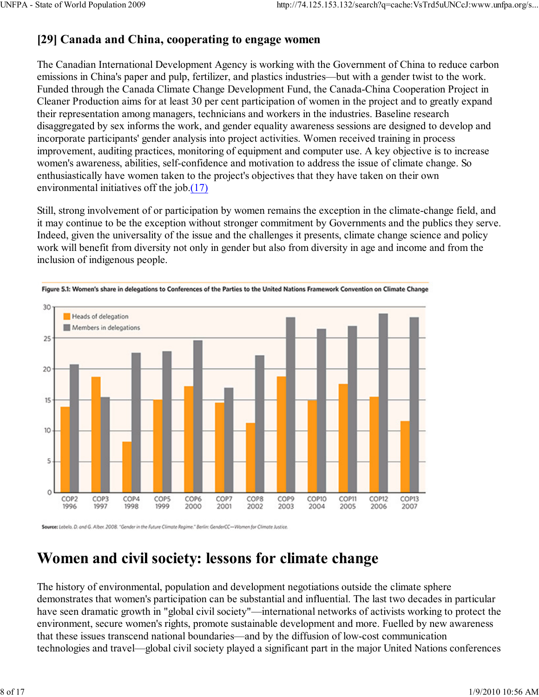## [29] Canada and China, cooperating to engage women

The Canadian International Development Agency is working with the Government of China to reduce carbon emissions in China's paper and pulp, fertilizer, and plastics industries—but with a gender twist to the work. Funded through the Canada Climate Change Development Fund, the Canada-China Cooperation Project in Cleaner Production aims for at least 30 per cent participation of women in the project and to greatly expand their representation among managers, technicians and workers in the industries. Baseline research disaggregated by sex informs the work, and gender equality awareness sessions are designed to develop and incorporate participants' gender analysis into project activities. Women received training in process improvement, auditing practices, monitoring of equipment and computer use. A key objective is to increase women's awareness, abilities, self-confidence and motivation to address the issue of climate change. So enthusiastically have women taken to the project's objectives that they have taken on their own environmental initiatives off the job.(17)

Still, strong involvement of or participation by women remains the exception in the climate-change field, and it may continue to be the exception without stronger commitment by Governments and the publics they serve. Indeed, given the universality of the issue and the challenges it presents, climate change science and policy work will benefit from diversity not only in gender but also from diversity in age and income and from the inclusion of indigenous people.



Figure 5.1: Women's share in delegations to Conferences of the Parties to the United Nations Framework Convention on Climate Change

Source: Lebelo, D. and G. Alber. 2008. "Gender in the Future Climate Regime." Berlin: GenderCC-Women for Climate Justice

## Women and civil society: lessons for climate change

The history of environmental, population and development negotiations outside the climate sphere demonstrates that women's participation can be substantial and influential. The last two decades in particular have seen dramatic growth in "global civil society"—international networks of activists working to protect the environment, secure women's rights, promote sustainable development and more. Fuelled by new awareness that these issues transcend national boundaries—and by the diffusion of low-cost communication technologies and travel—global civil society played a significant part in the major United Nations conferences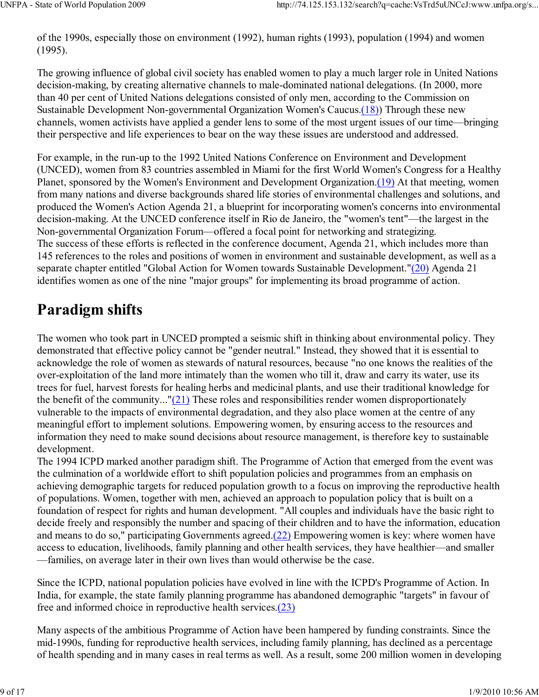of the 1990s, especially those on environment (1992), human rights (1993), population (1994) and women (1995).

The growing influence of global civil society has enabled women to play a much larger role in United Nations decision-making, by creating alternative channels to male-dominated national delegations. (In 2000, more than 40 per cent of United Nations delegations consisted of only men, according to the Commission on Sustainable Development Non-governmental Organization Women's Caucus.(18)) Through these new channels, women activists have applied a gender lens to some of the most urgent issues of our time—bringing their perspective and life experiences to bear on the way these issues are understood and addressed.

For example, in the run-up to the 1992 United Nations Conference on Environment and Development (UNCED), women from 83 countries assembled in Miami for the first World Women's Congress for a Healthy Planet, sponsored by the Women's Environment and Development Organization.(19) At that meeting, women from many nations and diverse backgrounds shared life stories of environmental challenges and solutions, and produced the Women's Action Agenda 21, a blueprint for incorporating women's concerns into environmental decision-making. At the UNCED conference itself in Rio de Janeiro, the "women's tent"—the largest in the Non-governmental Organization Forum—offered a focal point for networking and strategizing. The success of these efforts is reflected in the conference document, Agenda 21, which includes more than 145 references to the roles and positions of women in environment and sustainable development, as well as a separate chapter entitled "Global Action for Women towards Sustainable Development."(20) Agenda 21 identifies women as one of the nine "major groups" for implementing its broad programme of action.

## Paradigm shifts

The women who took part in UNCED prompted a seismic shift in thinking about environmental policy. They demonstrated that effective policy cannot be "gender neutral." Instead, they showed that it is essential to acknowledge the role of women as stewards of natural resources, because "no one knows the realities of the over-exploitation of the land more intimately than the women who till it, draw and carry its water, use its trees for fuel, harvest forests for healing herbs and medicinal plants, and use their traditional knowledge for the benefit of the community..." $(21)$  These roles and responsibilities render women disproportionately vulnerable to the impacts of environmental degradation, and they also place women at the centre of any meaningful effort to implement solutions. Empowering women, by ensuring access to the resources and information they need to make sound decisions about resource management, is therefore key to sustainable development.

The 1994 ICPD marked another paradigm shift. The Programme of Action that emerged from the event was the culmination of a worldwide effort to shift population policies and programmes from an emphasis on achieving demographic targets for reduced population growth to a focus on improving the reproductive health of populations. Women, together with men, achieved an approach to population policy that is built on a foundation of respect for rights and human development. "All couples and individuals have the basic right to decide freely and responsibly the number and spacing of their children and to have the information, education and means to do so," participating Governments agreed.(22) Empowering women is key: where women have access to education, livelihoods, family planning and other health services, they have healthier—and smaller —families, on average later in their own lives than would otherwise be the case.

Since the ICPD, national population policies have evolved in line with the ICPD's Programme of Action. In India, for example, the state family planning programme has abandoned demographic "targets" in favour of free and informed choice in reproductive health services.(23)

Many aspects of the ambitious Programme of Action have been hampered by funding constraints. Since the mid-1990s, funding for reproductive health services, including family planning, has declined as a percentage of health spending and in many cases in real terms as well. As a result, some 200 million women in developing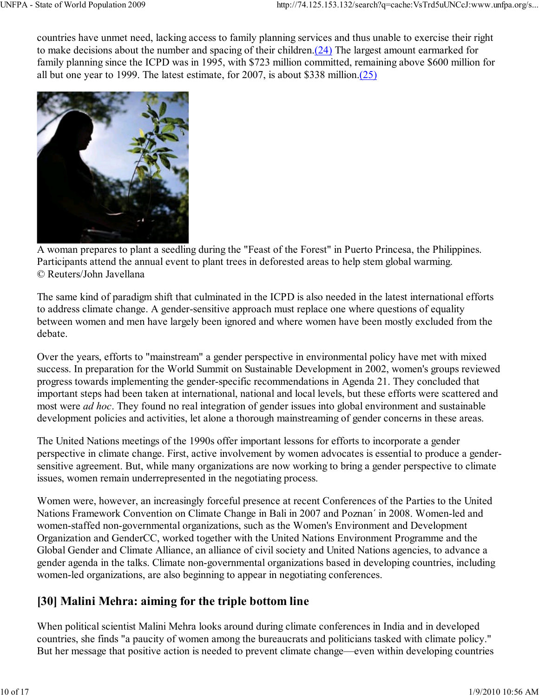countries have unmet need, lacking access to family planning services and thus unable to exercise their right to make decisions about the number and spacing of their children.(24) The largest amount earmarked for family planning since the ICPD was in 1995, with \$723 million committed, remaining above \$600 million for all but one year to 1999. The latest estimate, for 2007, is about \$338 million.(25)



A woman prepares to plant a seedling during the "Feast of the Forest" in Puerto Princesa, the Philippines. Participants attend the annual event to plant trees in deforested areas to help stem global warming. © Reuters/John Javellana

The same kind of paradigm shift that culminated in the ICPD is also needed in the latest international efforts to address climate change. A gender-sensitive approach must replace one where questions of equality between women and men have largely been ignored and where women have been mostly excluded from the debate.

Over the years, efforts to "mainstream" a gender perspective in environmental policy have met with mixed success. In preparation for the World Summit on Sustainable Development in 2002, women's groups reviewed progress towards implementing the gender-specific recommendations in Agenda 21. They concluded that important steps had been taken at international, national and local levels, but these efforts were scattered and most were *ad hoc*. They found no real integration of gender issues into global environment and sustainable development policies and activities, let alone a thorough mainstreaming of gender concerns in these areas.

The United Nations meetings of the 1990s offer important lessons for efforts to incorporate a gender perspective in climate change. First, active involvement by women advocates is essential to produce a gendersensitive agreement. But, while many organizations are now working to bring a gender perspective to climate issues, women remain underrepresented in the negotiating process.

Women were, however, an increasingly forceful presence at recent Conferences of the Parties to the United Nations Framework Convention on Climate Change in Bali in 2007 and Poznan´ in 2008. Women-led and women-staffed non-governmental organizations, such as the Women's Environment and Development Organization and GenderCC, worked together with the United Nations Environment Programme and the Global Gender and Climate Alliance, an alliance of civil society and United Nations agencies, to advance a gender agenda in the talks. Climate non-governmental organizations based in developing countries, including women-led organizations, are also beginning to appear in negotiating conferences.

## [30] Malini Mehra: aiming for the triple bottom line

When political scientist Malini Mehra looks around during climate conferences in India and in developed countries, she finds "a paucity of women among the bureaucrats and politicians tasked with climate policy." But her message that positive action is needed to prevent climate change—even within developing countries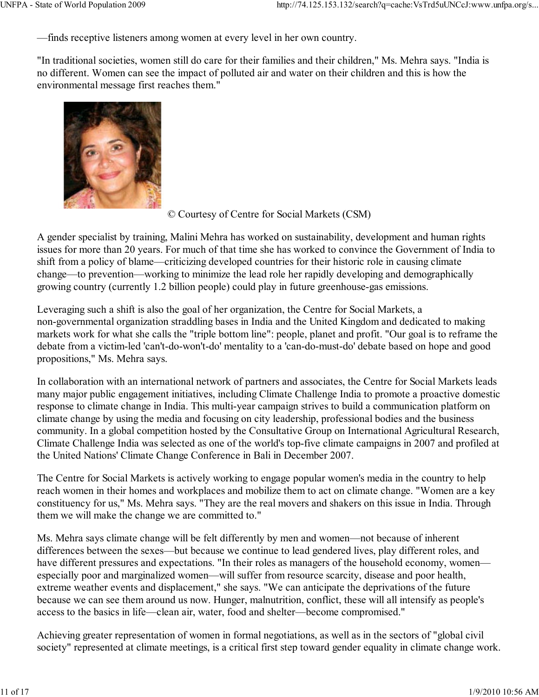—finds receptive listeners among women at every level in her own country.

"In traditional societies, women still do care for their families and their children," Ms. Mehra says. "India is no different. Women can see the impact of polluted air and water on their children and this is how the environmental message first reaches them."



© Courtesy of Centre for Social Markets (CSM)

A gender specialist by training, Malini Mehra has worked on sustainability, development and human rights issues for more than 20 years. For much of that time she has worked to convince the Government of India to shift from a policy of blame—criticizing developed countries for their historic role in causing climate change—to prevention—working to minimize the lead role her rapidly developing and demographically growing country (currently 1.2 billion people) could play in future greenhouse-gas emissions.

Leveraging such a shift is also the goal of her organization, the Centre for Social Markets, a non-governmental organization straddling bases in India and the United Kingdom and dedicated to making markets work for what she calls the "triple bottom line": people, planet and profit. "Our goal is to reframe the debate from a victim-led 'can't-do-won't-do' mentality to a 'can-do-must-do' debate based on hope and good propositions," Ms. Mehra says.

In collaboration with an international network of partners and associates, the Centre for Social Markets leads many major public engagement initiatives, including Climate Challenge India to promote a proactive domestic response to climate change in India. This multi-year campaign strives to build a communication platform on climate change by using the media and focusing on city leadership, professional bodies and the business community. In a global competition hosted by the Consultative Group on International Agricultural Research, Climate Challenge India was selected as one of the world's top-five climate campaigns in 2007 and profiled at the United Nations' Climate Change Conference in Bali in December 2007.

The Centre for Social Markets is actively working to engage popular women's media in the country to help reach women in their homes and workplaces and mobilize them to act on climate change. "Women are a key constituency for us," Ms. Mehra says. "They are the real movers and shakers on this issue in India. Through them we will make the change we are committed to."

Ms. Mehra says climate change will be felt differently by men and women—not because of inherent differences between the sexes—but because we continue to lead gendered lives, play different roles, and have different pressures and expectations. "In their roles as managers of the household economy, women especially poor and marginalized women—will suffer from resource scarcity, disease and poor health, extreme weather events and displacement," she says. "We can anticipate the deprivations of the future because we can see them around us now. Hunger, malnutrition, conflict, these will all intensify as people's access to the basics in life—clean air, water, food and shelter—become compromised."

Achieving greater representation of women in formal negotiations, as well as in the sectors of "global civil society" represented at climate meetings, is a critical first step toward gender equality in climate change work.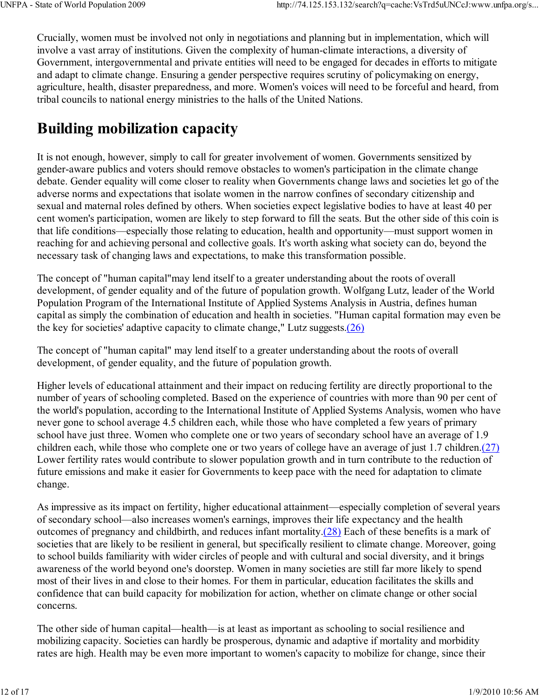Crucially, women must be involved not only in negotiations and planning but in implementation, which will involve a vast array of institutions. Given the complexity of human-climate interactions, a diversity of Government, intergovernmental and private entities will need to be engaged for decades in efforts to mitigate and adapt to climate change. Ensuring a gender perspective requires scrutiny of policymaking on energy, agriculture, health, disaster preparedness, and more. Women's voices will need to be forceful and heard, from tribal councils to national energy ministries to the halls of the United Nations.

## Building mobilization capacity

It is not enough, however, simply to call for greater involvement of women. Governments sensitized by gender-aware publics and voters should remove obstacles to women's participation in the climate change debate. Gender equality will come closer to reality when Governments change laws and societies let go of the adverse norms and expectations that isolate women in the narrow confines of secondary citizenship and sexual and maternal roles defined by others. When societies expect legislative bodies to have at least 40 per cent women's participation, women are likely to step forward to fill the seats. But the other side of this coin is that life conditions—especially those relating to education, health and opportunity—must support women in reaching for and achieving personal and collective goals. It's worth asking what society can do, beyond the necessary task of changing laws and expectations, to make this transformation possible.

The concept of "human capital"may lend itself to a greater understanding about the roots of overall development, of gender equality and of the future of population growth. Wolfgang Lutz, leader of the World Population Program of the International Institute of Applied Systems Analysis in Austria, defines human capital as simply the combination of education and health in societies. "Human capital formation may even be the key for societies' adaptive capacity to climate change," Lutz suggests. $(26)$ 

The concept of "human capital" may lend itself to a greater understanding about the roots of overall development, of gender equality, and the future of population growth.

Higher levels of educational attainment and their impact on reducing fertility are directly proportional to the number of years of schooling completed. Based on the experience of countries with more than 90 per cent of the world's population, according to the International Institute of Applied Systems Analysis, women who have never gone to school average 4.5 children each, while those who have completed a few years of primary school have just three. Women who complete one or two years of secondary school have an average of 1.9 children each, while those who complete one or two years of college have an average of just 1.7 children.(27) Lower fertility rates would contribute to slower population growth and in turn contribute to the reduction of future emissions and make it easier for Governments to keep pace with the need for adaptation to climate change.

As impressive as its impact on fertility, higher educational attainment—especially completion of several years of secondary school—also increases women's earnings, improves their life expectancy and the health outcomes of pregnancy and childbirth, and reduces infant mortality.(28) Each of these benefits is a mark of societies that are likely to be resilient in general, but specifically resilient to climate change. Moreover, going to school builds familiarity with wider circles of people and with cultural and social diversity, and it brings awareness of the world beyond one's doorstep. Women in many societies are still far more likely to spend most of their lives in and close to their homes. For them in particular, education facilitates the skills and confidence that can build capacity for mobilization for action, whether on climate change or other social concerns.

The other side of human capital—health—is at least as important as schooling to social resilience and mobilizing capacity. Societies can hardly be prosperous, dynamic and adaptive if mortality and morbidity rates are high. Health may be even more important to women's capacity to mobilize for change, since their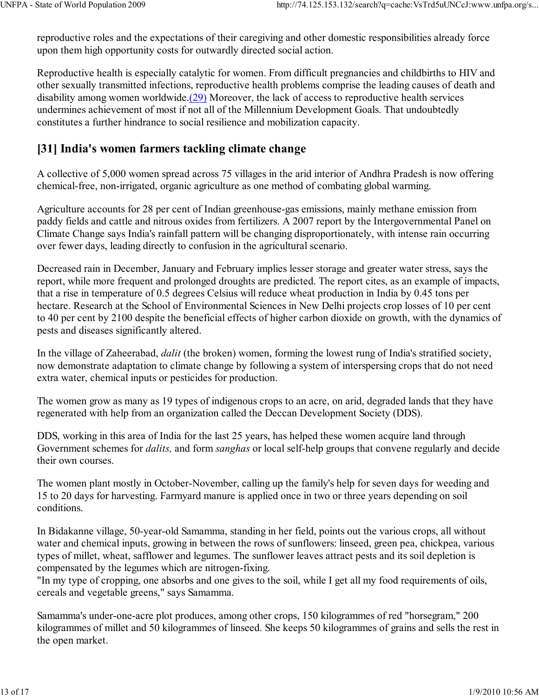reproductive roles and the expectations of their caregiving and other domestic responsibilities already force upon them high opportunity costs for outwardly directed social action.

Reproductive health is especially catalytic for women. From difficult pregnancies and childbirths to HIV and other sexually transmitted infections, reproductive health problems comprise the leading causes of death and disability among women worldwide.(29) Moreover, the lack of access to reproductive health services undermines achievement of most if not all of the Millennium Development Goals. That undoubtedly constitutes a further hindrance to social resilience and mobilization capacity.

## [31] India's women farmers tackling climate change

A collective of 5,000 women spread across 75 villages in the arid interior of Andhra Pradesh is now offering chemical-free, non-irrigated, organic agriculture as one method of combating global warming.

Agriculture accounts for 28 per cent of Indian greenhouse-gas emissions, mainly methane emission from paddy fields and cattle and nitrous oxides from fertilizers. A 2007 report by the Intergovernmental Panel on Climate Change says India's rainfall pattern will be changing disproportionately, with intense rain occurring over fewer days, leading directly to confusion in the agricultural scenario.

Decreased rain in December, January and February implies lesser storage and greater water stress, says the report, while more frequent and prolonged droughts are predicted. The report cites, as an example of impacts, that a rise in temperature of 0.5 degrees Celsius will reduce wheat production in India by 0.45 tons per hectare. Research at the School of Environmental Sciences in New Delhi projects crop losses of 10 per cent to 40 per cent by 2100 despite the beneficial effects of higher carbon dioxide on growth, with the dynamics of pests and diseases significantly altered.

In the village of Zaheerabad, dalit (the broken) women, forming the lowest rung of India's stratified society, now demonstrate adaptation to climate change by following a system of interspersing crops that do not need extra water, chemical inputs or pesticides for production.

The women grow as many as 19 types of indigenous crops to an acre, on arid, degraded lands that they have regenerated with help from an organization called the Deccan Development Society (DDS).

DDS, working in this area of India for the last 25 years, has helped these women acquire land through Government schemes for *dalits*, and form *sanghas* or local self-help groups that convene regularly and decide their own courses.

The women plant mostly in October-November, calling up the family's help for seven days for weeding and 15 to 20 days for harvesting. Farmyard manure is applied once in two or three years depending on soil conditions.

In Bidakanne village, 50-year-old Samamma, standing in her field, points out the various crops, all without water and chemical inputs, growing in between the rows of sunflowers: linseed, green pea, chickpea, various types of millet, wheat, safflower and legumes. The sunflower leaves attract pests and its soil depletion is compensated by the legumes which are nitrogen-fixing.

"In my type of cropping, one absorbs and one gives to the soil, while I get all my food requirements of oils, cereals and vegetable greens," says Samamma.

Samamma's under-one-acre plot produces, among other crops, 150 kilogrammes of red "horsegram," 200 kilogrammes of millet and 50 kilogrammes of linseed. She keeps 50 kilogrammes of grains and sells the rest in the open market.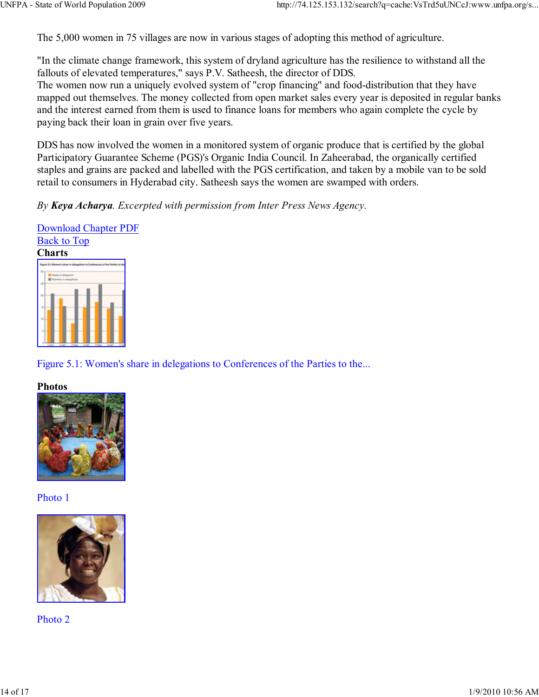The 5,000 women in 75 villages are now in various stages of adopting this method of agriculture.

"In the climate change framework, this system of dryland agriculture has the resilience to withstand all the fallouts of elevated temperatures," says P.V. Satheesh, the director of DDS.

The women now run a uniquely evolved system of "crop financing" and food-distribution that they have mapped out themselves. The money collected from open market sales every year is deposited in regular banks and the interest earned from them is used to finance loans for members who again complete the cycle by paying back their loan in grain over five years.

DDS has now involved the women in a monitored system of organic produce that is certified by the global Participatory Guarantee Scheme (PGS)'s Organic India Council. In Zaheerabad, the organically certified staples and grains are packed and labelled with the PGS certification, and taken by a mobile van to be sold retail to consumers in Hyderabad city. Satheesh says the women are swamped with orders.

By Keya Acharya. Excerpted with permission from Inter Press News Agency.

# Download Chapter PDF Back to Top **Charts** store in delegations to Conferences of the Parties to

Figure 5.1: Women's share in delegations to Conferences of the Parties to the...

#### Photos



Photo 1



Photo 2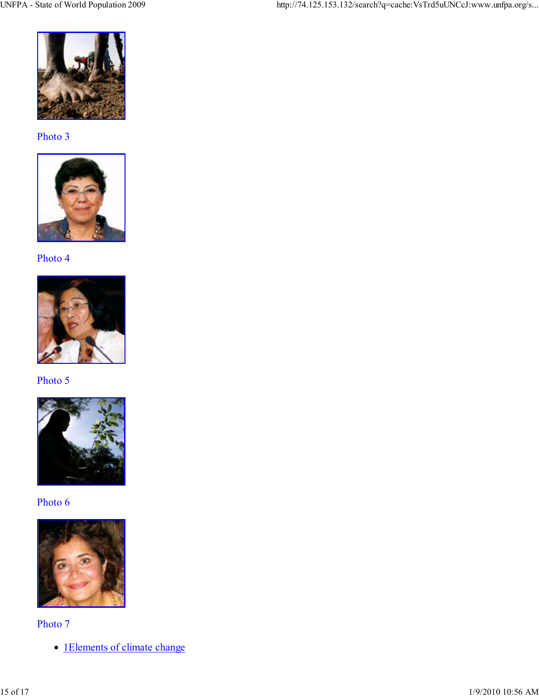

Photo 3



Photo 4



Photo 5



Photo 6



Photo 7

• 1Elements of climate change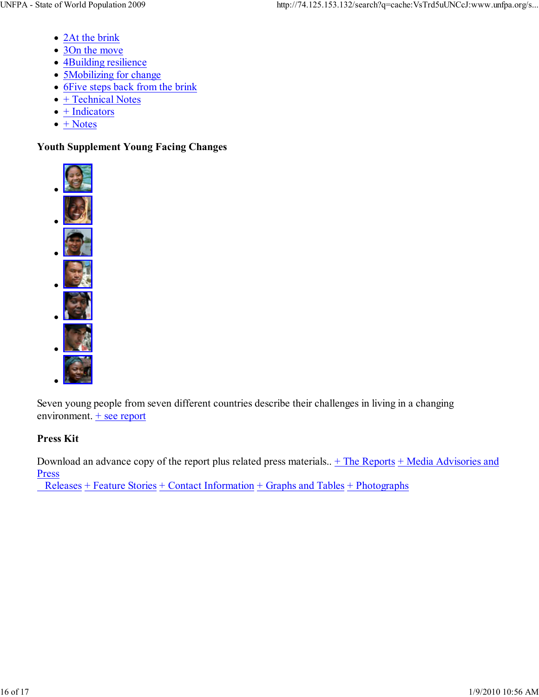- 2At the brink
- 3On the move
- 4Building resilience
- **5Mobilizing for change**
- **6Five steps back from the brink**
- $\bullet$  + Technical Notes
- $\bullet$  + Indicators
- $\bullet$  + Notes

#### Youth Supplement Young Facing Changes



Seven young people from seven different countries describe their challenges in living in a changing environment.  $+$  see report

#### Press Kit

Download an advance copy of the report plus related press materials.. + The Reports + Media Advisories and Press

Releases + Feature Stories + Contact Information + Graphs and Tables + Photographs